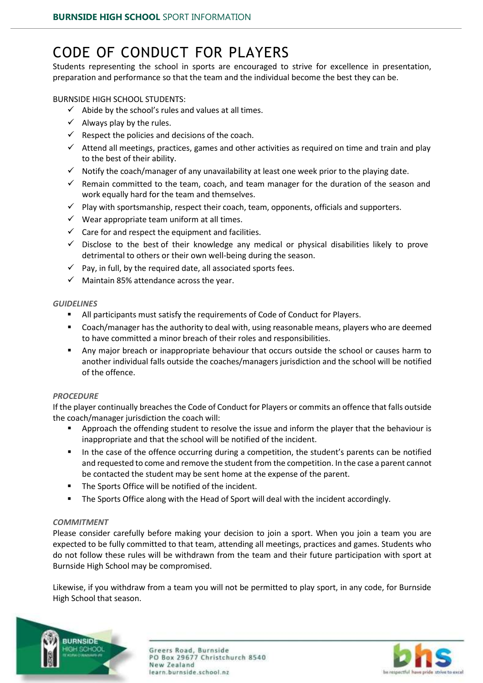## CODE OF CONDUCT FOR PLAYERS

Students representing the school in sports are encouraged to strive for excellence in presentation, preparation and performance so that the team and the individual become the best they can be.

BURNSIDE HIGH SCHOOL STUDENTS:

- $\checkmark$  Abide by the school's rules and values at all times.
- $\checkmark$  Always play by the rules.
- $\checkmark$  Respect the policies and decisions of the coach.
- $\checkmark$  Attend all meetings, practices, games and other activities as required on time and train and play to the best of their ability.
- $\checkmark$  Notify the coach/manager of any unavailability at least one week prior to the playing date.
- $\checkmark$  Remain committed to the team, coach, and team manager for the duration of the season and work equally hard for the team and themselves.
- $\checkmark$  Play with sportsmanship, respect their coach, team, opponents, officials and supporters.
- $\checkmark$  Wear appropriate team uniform at all times.
- $\checkmark$  Care for and respect the equipment and facilities.
- $\checkmark$  Disclose to the best of their knowledge any medical or physical disabilities likely to prove detrimental to others or their own well-being during the season.
- $\checkmark$  Pay, in full, by the required date, all associated sports fees.
- $\checkmark$  Maintain 85% attendance across the year.

#### *GUIDELINES*

- All participants must satisfy the requirements of Code of Conduct for Players.
- Coach/manager hasthe authority to deal with, using reasonable means, players who are deemed to have committed a minor breach of their roles and responsibilities.
- Any major breach or inappropriate behaviour that occurs outside the school or causes harm to another individual falls outside the coaches/managers jurisdiction and the school will be notified of the offence.

#### *PROCEDURE*

If the player continually breaches the Code of Conduct for Players or commits an offence that falls outside the coach/manager jurisdiction the coach will:

- **Approach the offending student to resolve the issue and inform the player that the behaviour is** inappropriate and that the school will be notified of the incident.
- In the case of the offence occurring during a competition, the student's parents can be notified and requested to come and remove the student from the competition. In the case a parent cannot be contacted the student may be sent home at the expense of the parent.
- **The Sports Office will be notified of the incident.**
- The Sports Office along with the Head of Sport will deal with the incident accordingly.

#### *COMMITMENT*

Please consider carefully before making your decision to join a sport. When you join a team you are expected to be fully committed to that team, attending all meetings, practices and games. Students who do not follow these rules will be withdrawn from the team and their future participation with sport at Burnside High School may be compromised.

Likewise, if you withdraw from a team you will not be permitted to play sport, in any code, for Burnside High School that season.



Greers Road, Burnside PO Box 29677 Christchurch 8540 New Zealand learn.burnside.school.nz

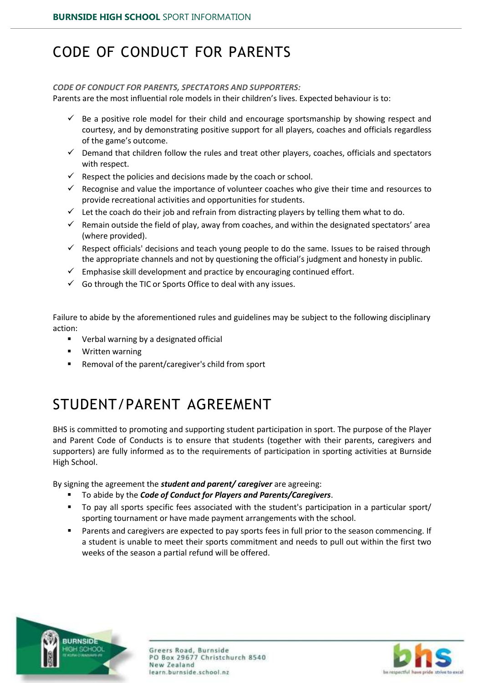## CODE OF CONDUCT FOR PARENTS

#### *CODE OF CONDUCT FOR PARENTS, SPECTATORS AND SUPPORTERS:*

Parents are the most influential role models in their children's lives. Expected behaviour is to:

- $\checkmark$  Be a positive role model for their child and encourage sportsmanship by showing respect and courtesy, and by demonstrating positive support for all players, coaches and officials regardless of the game's outcome.
- $\checkmark$  Demand that children follow the rules and treat other players, coaches, officials and spectators with respect.
- $\checkmark$  Respect the policies and decisions made by the coach or school.
- $\checkmark$  Recognise and value the importance of volunteer coaches who give their time and resources to provide recreational activities and opportunities for students.
- $\checkmark$  Let the coach do their job and refrain from distracting players by telling them what to do.
- $\checkmark$  Remain outside the field of play, away from coaches, and within the designated spectators' area (where provided).
- $\checkmark$  Respect officials' decisions and teach young people to do the same. Issues to be raised through the appropriate channels and not by questioning the official's judgment and honesty in public.
- $\checkmark$  Emphasise skill development and practice by encouraging continued effort.
- $\checkmark$  Go through the TIC or Sports Office to deal with any issues.

Failure to abide by the aforementioned rules and guidelines may be subject to the following disciplinary action:

- Verbal warning by a designated official
- **•** Written warning
- Removal of the parent/caregiver's child from sport

# STUDENT/PARENT AGREEMENT

BHS is committed to promoting and supporting student participation in sport. The purpose of the Player and Parent Code of Conducts is to ensure that students (together with their parents, caregivers and supporters) are fully informed as to the requirements of participation in sporting activities at Burnside High School.

By signing the agreement the *student and parent/ caregiver* are agreeing:

- To abide by the *Code of Conduct for Players and Parents/Caregivers*.
- To pay all sports specific fees associated with the student's participation in a particular sport/ sporting tournament or have made payment arrangements with the school.
- Parents and caregivers are expected to pay sports fees in full prior to the season commencing. If a student is unable to meet their sports commitment and needs to pull out within the first two weeks of the season a partial refund will be offered.



Greers Road, Burnside PO Box 29677 Christchurch 8540 New Zealand learn.burnside.school.nz